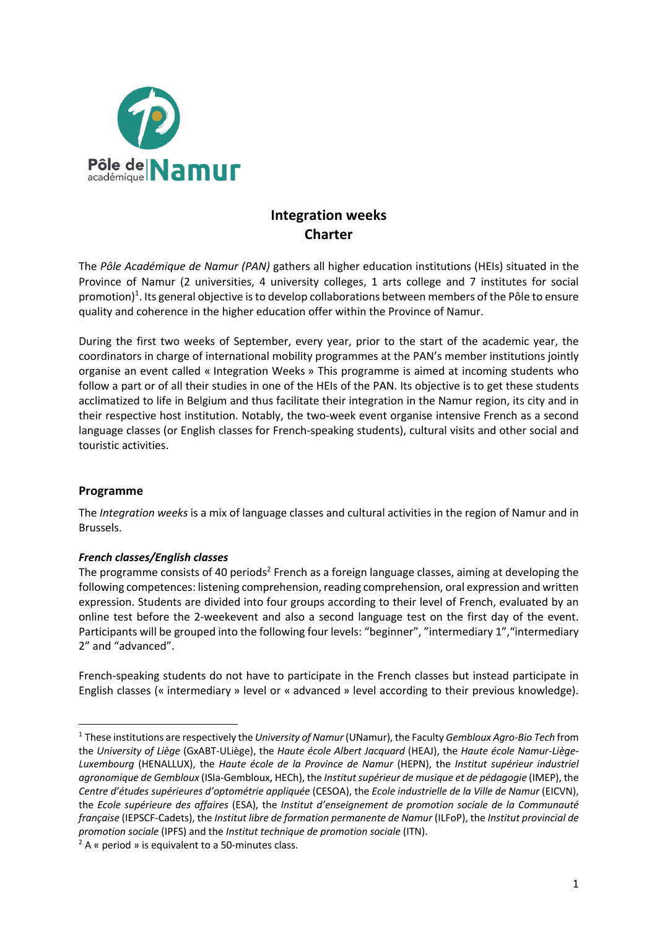

# **Integration weeks Charter**

The *Pôle Académique de Namur (PAN)* gathers all higher education institutions (HEIs) situated in the Province of Namur (2 universities, 4 university colleges, 1 arts college and 7 institutes for social promotion)<sup>1</sup>. Its general objective is to develop collaborations between members of the Pôle to ensure quality and coherence in the higher education offer within the Province of Namur.

During the first two weeks of September, every year, prior to the start of the academic year, the coordinators in charge of international mobility programmes at the PAN's member institutions jointly organise an event called « Integration Weeks » This programme is aimed at incoming students who follow a part or of all their studies in one of the HEIs of the PAN. Its objective is to get these students acclimatized to life in Belgium and thus facilitate their integration in the Namur region, its city and in their respective host institution. Notably, the two-week event organise intensive French as a second language classes (or English classes for French-speaking students), cultural visits and other social and touristic activities.

## **Programme**

The *Integration weeks* is a mix of language classes and cultural activities in the region of Namur and in Brussels.

## *French classes/English classes*

The programme consists of 40 periods<sup>2</sup> French as a foreign language classes, aiming at developing the following competences: listening comprehension, reading comprehension, oral expression and written expression. Students are divided into four groups according to their level of French, evaluated by an online test before the 2-weekevent and also a second language test on the first day of the event. Participants will be grouped into the following four levels: "beginner", "intermediary 1","intermediary 2" and "advanced".

French-speaking students do not have to participate in the French classes but instead participate in English classes (« intermediary » level or « advanced » level according to their previous knowledge).

<sup>1</sup> These institutions are respectively the *University of Namur* (UNamur), the Faculty *Gembloux Agro-Bio Tech* from the *University of Liège* (GxABT-ULiège), the *Haute école Albert Jacquard* (HEAJ), the *Haute école Namur-Liège-Luxembourg* (HENALLUX), the *Haute école de la Province de Namur* (HEPN), the *Institut supérieur industriel agronomique de Gembloux* (ISIa-Gembloux, HECh), the *Institut supérieur de musique et de pédagogie* (IMEP), the *Centre d'études supérieures d'optométrie appliquée* (CESOA), the *Ecole industrielle de la Ville de Namur* (EICVN), the *Ecole supérieure des affaires* (ESA), the *Institut d'enseignement de promotion sociale de la Communauté française* (IEPSCF-Cadets), the *Institut libre de formation permanente de Namur* (ILFoP), the *Institut provincial de promotion sociale* (IPFS) and the *Institut technique de promotion sociale* (ITN).

 $2A \times$  period » is equivalent to a 50-minutes class.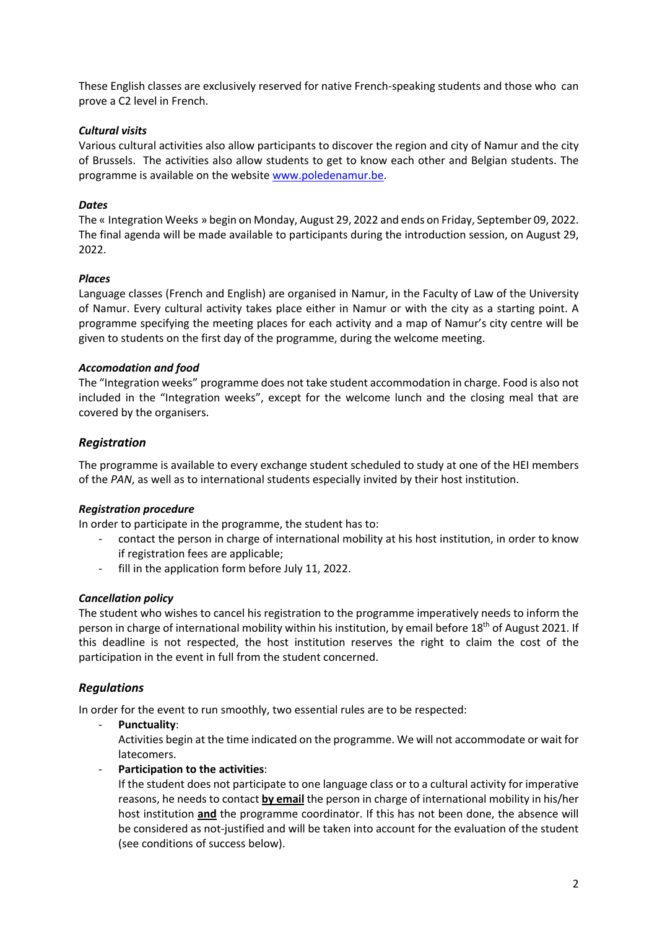These English classes are exclusively reserved for native French-speaking students and those who can prove a C2 level in French.

## *Cultural visits*

Various cultural activities also allow participants to discover the region and city of Namur and the city of Brussels. The activities also allow students to get to know each other and Belgian students. The programme is available on the website www.poledenamur.be.

## *Dates*

The « Integration Weeks » begin on Monday, August 29, 2022 and ends on Friday, September 09, 2022. The final agenda will be made available to participants during the introduction session, on August 29, 2022.

## *Places*

Language classes (French and English) are organised in Namur, in the Faculty of Law of the University of Namur. Every cultural activity takes place either in Namur or with the city as a starting point. A programme specifying the meeting places for each activity and a map of Namur's city centre will be given to students on the first day of the programme, during the welcome meeting.

## *Accomodation and food*

The "Integration weeks" programme does not take student accommodation in charge. Food is also not included in the "Integration weeks", except for the welcome lunch and the closing meal that are covered by the organisers.

## *Registration*

The programme is available to every exchange student scheduled to study at one of the HEI members of the *PAN*, as well as to international students especially invited by their host institution.

## *Registration procedure*

In order to participate in the programme, the student has to:

- contact the person in charge of international mobility at his host institution, in order to know if registration fees are applicable;
- fill in the application form before July 11, 2022.

## *Cancellation policy*

The student who wishes to cancel his registration to the programme imperatively needs to inform the person in charge of international mobility within his institution, by email before 18<sup>th</sup> of August 2021. If this deadline is not respected, the host institution reserves the right to claim the cost of the participation in the event in full from the student concerned.

## *Regulations*

In order for the event to run smoothly, two essential rules are to be respected:

- **Punctuality**:

Activities begin at the time indicated on the programme. We will not accommodate or wait for latecomers.

- **Participation to the activities**:

If the student does not participate to one language class or to a cultural activity for imperative reasons, he needs to contact **by email** the person in charge of international mobility in his/her host institution **and** the programme coordinator. If this has not been done, the absence will be considered as not-justified and will be taken into account for the evaluation of the student (see conditions of success below).